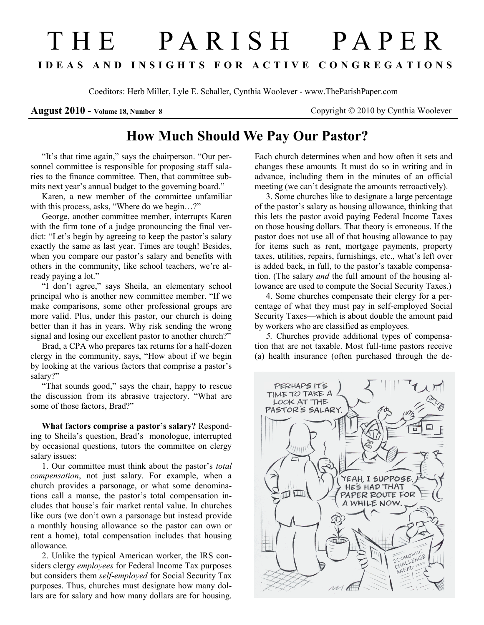## T H E P A R I S H P A P E R I D E A S A N D I N S I G H T S F O R A C T I V E C O N G R E G A T I O N S

Coeditors: Herb Miller, Lyle E. Schaller, Cynthia Woolever - www.TheParishPaper.com

August 2010 - Volume 18, Number 8 Copyright © 2010 by Cynthia Woolever

## How Much Should We Pay Our Pastor?

"It's that time again," says the chairperson. "Our personnel committee is responsible for proposing staff salaries to the finance committee. Then, that committee submits next year's annual budget to the governing board."

Karen, a new member of the committee unfamiliar with this process, asks, "Where do we begin...?"

George, another committee member, interrupts Karen with the firm tone of a judge pronouncing the final verdict: "Let's begin by agreeing to keep the pastor's salary exactly the same as last year. Times are tough! Besides, when you compare our pastor's salary and benefits with others in the community, like school teachers, we're already paying a lot."

"I don't agree," says Sheila, an elementary school principal who is another new committee member. "If we make comparisons, some other professional groups are more valid. Plus, under this pastor, our church is doing better than it has in years. Why risk sending the wrong signal and losing our excellent pastor to another church?"

Brad, a CPA who prepares tax returns for a half-dozen clergy in the community, says, "How about if we begin by looking at the various factors that comprise a pastor's salary?"

"That sounds good," says the chair, happy to rescue the discussion from its abrasive trajectory. "What are some of those factors, Brad?"

What factors comprise a pastor's salary? Responding to Sheila's question, Brad's monologue, interrupted by occasional questions, tutors the committee on clergy salary issues:

1. Our committee must think about the pastor's total compensation, not just salary. For example, when a church provides a parsonage, or what some denominations call a manse, the pastor's total compensation includes that house's fair market rental value. In churches like ours (we don't own a parsonage but instead provide a monthly housing allowance so the pastor can own or rent a home), total compensation includes that housing allowance.

2. Unlike the typical American worker, the IRS considers clergy employees for Federal Income Tax purposes but considers them self-employed for Social Security Tax purposes. Thus, churches must designate how many dollars are for salary and how many dollars are for housing. Each church determines when and how often it sets and changes these amounts. It must do so in writing and in advance, including them in the minutes of an official meeting (we can't designate the amounts retroactively).

3. Some churches like to designate a large percentage of the pastor's salary as housing allowance, thinking that this lets the pastor avoid paying Federal Income Taxes on those housing dollars. That theory is erroneous. If the pastor does not use all of that housing allowance to pay for items such as rent, mortgage payments, property taxes, utilities, repairs, furnishings, etc., what's left over is added back, in full, to the pastor's taxable compensation. (The salary and the full amount of the housing allowance are used to compute the Social Security Taxes.)

4. Some churches compensate their clergy for a percentage of what they must pay in self-employed Social Security Taxes—which is about double the amount paid by workers who are classified as employees.

5. Churches provide additional types of compensation that are not taxable. Most full-time pastors receive (a) health insurance (often purchased through the de-